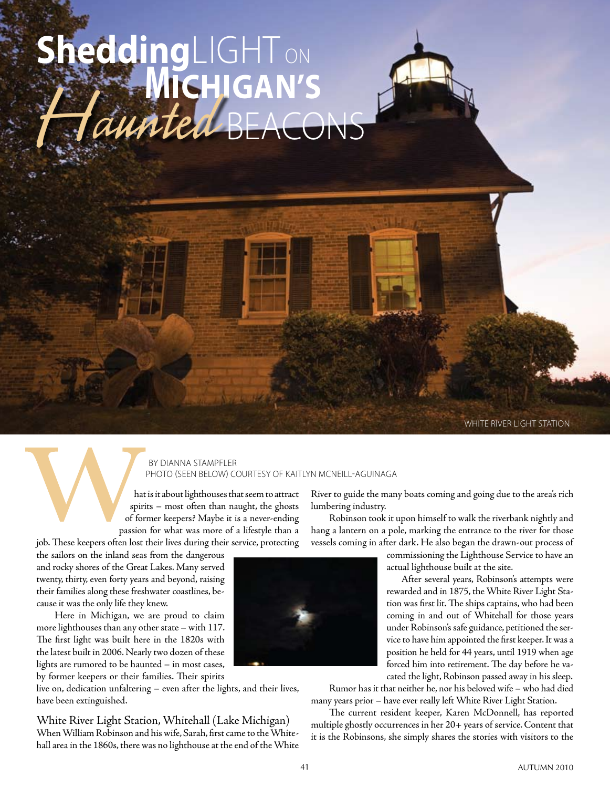# SheddingLIGHT on  $B$ **Michigan's** Haunted

white river light station

### by dianna stampfler photo (Seen below) courtesy of Kaitlyn McNeill-Aguinaga

hat is it about lighthouses that seem to attract spirits – most often than naught, the ghosts of former keepers? Maybe it is a never-ending passion for what was more of a lifestyle than a job. These keepers often lost their lives during their service, protecting

the sailors on the inland seas from the dangerous and rocky shores of the Great Lakes. Many served twenty, thirty, even forty years and beyond, raising their families along these freshwater coastlines, because it was the only life they knew.

Here in Michigan, we are proud to claim more lighthouses than any other state – with 117. The first light was built here in the 1820s with the latest built in 2006. Nearly two dozen of these lights are rumored to be haunted – in most cases, by former keepers or their families. Their spirits

live on, dedication unfaltering – even after the lights, and their lives, have been extinguished.

White River Light Station, Whitehall (Lake Michigan) When William Robinson and his wife, Sarah, first came to the Whitehall area in the 1860s, there was no lighthouse at the end of the White

River to guide the many boats coming and going due to the area's rich lumbering industry.

Robinson took it upon himself to walk the riverbank nightly and hang a lantern on a pole, marking the entrance to the river for those vessels coming in after dark. He also began the drawn-out process of

> commissioning the Lighthouse Service to have an actual lighthouse built at the site.

 After several years, Robinson's attempts were rewarded and in 1875, the White River Light Station was first lit. The ships captains, who had been coming in and out of Whitehall for those years under Robinson's safe guidance, petitioned the service to have him appointed the first keeper. It was a position he held for 44 years, until 1919 when age forced him into retirement. The day before he vacated the light, Robinson passed away in his sleep.

Rumor has it that neither he, nor his beloved wife – who had died many years prior – have ever really left White River Light Station.

The current resident keeper, Karen McDonnell, has reported multiple ghostly occurrences in her 20+ years of service. Content that it is the Robinsons, she simply shares the stories with visitors to the